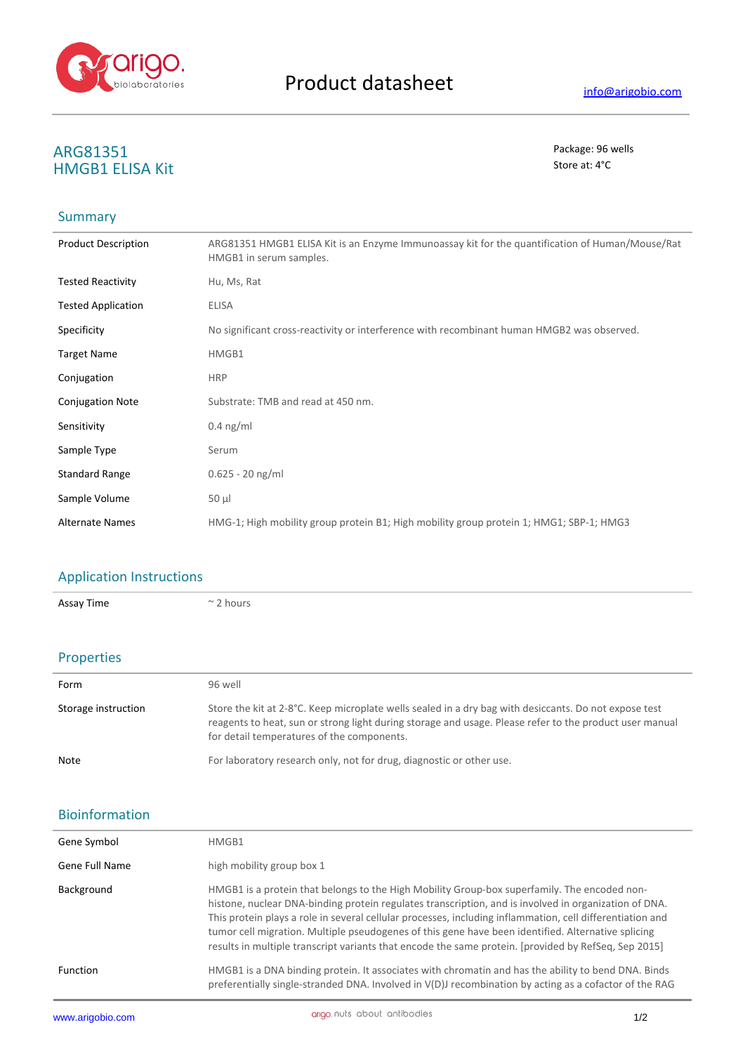

## **ARG81351** Package: 96 wells **HMGB1 ELISA Kit**

### **Summary**

| <b>Product Description</b> | ARG81351 HMGB1 ELISA Kit is an Enzyme Immunoassay kit for the quantification of Human/Mouse/Rat<br>HMGB1 in serum samples. |
|----------------------------|----------------------------------------------------------------------------------------------------------------------------|
| <b>Tested Reactivity</b>   | Hu, Ms, Rat                                                                                                                |
| <b>Tested Application</b>  | ELISA                                                                                                                      |
| Specificity                | No significant cross-reactivity or interference with recombinant human HMGB2 was observed.                                 |
| <b>Target Name</b>         | HMGB1                                                                                                                      |
| Conjugation                | <b>HRP</b>                                                                                                                 |
| <b>Conjugation Note</b>    | Substrate: TMB and read at 450 nm.                                                                                         |
| Sensitivity                | $0.4$ ng/ml                                                                                                                |
| Sample Type                | Serum                                                                                                                      |
| <b>Standard Range</b>      | $0.625 - 20$ ng/ml                                                                                                         |
| Sample Volume              | $50 \mu$                                                                                                                   |
| <b>Alternate Names</b>     | HMG-1; High mobility group protein B1; High mobility group protein 1; HMG1; SBP-1; HMG3                                    |

# Application Instructions

Assay Time  $\sim$  2 hours

#### Properties

| Form                | 96 well                                                                                                                                                                                                                                                        |
|---------------------|----------------------------------------------------------------------------------------------------------------------------------------------------------------------------------------------------------------------------------------------------------------|
| Storage instruction | Store the kit at 2-8°C. Keep microplate wells sealed in a dry bag with desiccants. Do not expose test<br>reagents to heat, sun or strong light during storage and usage. Please refer to the product user manual<br>for detail temperatures of the components. |
| Note                | For laboratory research only, not for drug, diagnostic or other use.                                                                                                                                                                                           |

### Bioinformation

| <b>Function</b> | HMGB1 is a DNA binding protein. It associates with chromatin and has the ability to bend DNA. Binds<br>preferentially single-stranded DNA. Involved in V(D)J recombination by acting as a cofactor of the RAG                                                                                                                                                                                                                                                                                                                    |  |
|-----------------|----------------------------------------------------------------------------------------------------------------------------------------------------------------------------------------------------------------------------------------------------------------------------------------------------------------------------------------------------------------------------------------------------------------------------------------------------------------------------------------------------------------------------------|--|
| Background      | HMGB1 is a protein that belongs to the High Mobility Group-box superfamily. The encoded non-<br>histone, nuclear DNA-binding protein regulates transcription, and is involved in organization of DNA.<br>This protein plays a role in several cellular processes, including inflammation, cell differentiation and<br>tumor cell migration. Multiple pseudogenes of this gene have been identified. Alternative splicing<br>results in multiple transcript variants that encode the same protein. [provided by RefSeq, Sep 2015] |  |
| Gene Full Name  | high mobility group box 1                                                                                                                                                                                                                                                                                                                                                                                                                                                                                                        |  |
| Gene Symbol     | HMGB1                                                                                                                                                                                                                                                                                                                                                                                                                                                                                                                            |  |